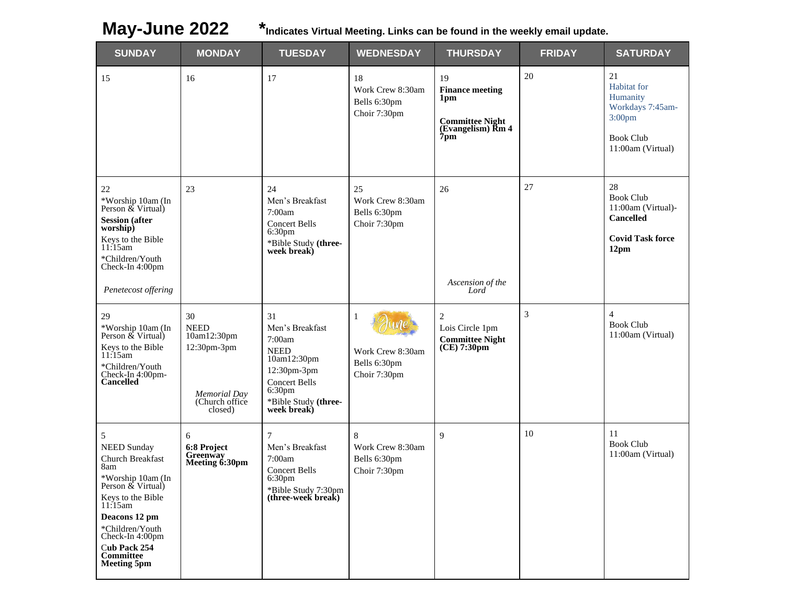**May-June 2022 \*Indicates Virtual Meeting. Links can be found in the weekly email update.**

| <b>SUNDAY</b>                                                                                                                                                                                                                          | <b>MONDAY</b>                                                                                | <b>TUESDAY</b>                                                                                                                                                    | <b>WEDNESDAY</b>                                       | <b>THURSDAY</b>                                                                              | <b>FRIDAY</b>  | <b>SATURDAY</b>                                                                                                  |
|----------------------------------------------------------------------------------------------------------------------------------------------------------------------------------------------------------------------------------------|----------------------------------------------------------------------------------------------|-------------------------------------------------------------------------------------------------------------------------------------------------------------------|--------------------------------------------------------|----------------------------------------------------------------------------------------------|----------------|------------------------------------------------------------------------------------------------------------------|
| 15                                                                                                                                                                                                                                     | 16                                                                                           | 17                                                                                                                                                                | 18<br>Work Crew 8:30am<br>Bells 6:30pm<br>Choir 7:30pm | 19<br><b>Finance meeting</b><br>1pm<br><b>Committee Night</b><br>(Evangelism) Rm 4<br>$7$ pm | 20             | 21<br>Habitat for<br>Humanity<br>Workdays 7:45am-<br>3:00 <sub>pm</sub><br><b>Book Club</b><br>11:00am (Virtual) |
| 22<br>*Worship 10am (In<br>Person & Virtual)<br><b>Session</b> (after<br>worship)<br>Keys to the Bible<br>11:15am<br>*Children/Youth<br>Check-In 4:00pm<br>Penetecost offering                                                         | 23                                                                                           | 24<br>Men's Breakfast<br>7:00am<br><b>Concert Bells</b><br>6:30pm<br>*Bible Study (three-<br>week break)                                                          | 25<br>Work Crew 8:30am<br>Bells 6:30pm<br>Choir 7:30pm | 26<br>Ascension of the<br>Lord                                                               | 27             | 28<br><b>Book Club</b><br>11:00am (Virtual)-<br><b>Cancelled</b><br><b>Covid Task force</b><br>12 <sub>pm</sub>  |
| 29<br>*Worship 10am (In<br>Person & Virtual)<br>Keys to the Bible<br>11:15am<br>*Children/Youth<br>Check-In 4:00pm-<br><b>Cancelled</b>                                                                                                | 30<br><b>NEED</b><br>10am12:30pm<br>12:30pm-3pm<br>Memorial Day<br>(Church office<br>closed) | 31<br>Men's Breakfast<br>7:00am<br><b>NEED</b><br>10am12:30pm<br>12:30pm-3pm<br><b>Concert Bells</b><br>6:30 <sub>pm</sub><br>*Bible Study (three-<br>week break) | 1<br>Work Crew 8:30am<br>Bells 6:30pm<br>Choir 7:30pm  | $\overline{c}$<br>Lois Circle 1pm<br><b>Committee Night</b><br>(CE) 7:30pm                   | $\mathfrak{Z}$ | $\overline{4}$<br><b>Book Club</b><br>11:00am (Virtual)                                                          |
| 5<br><b>NEED Sunday</b><br>Church Breakfast<br>8am<br>*Worship 10am (In<br>Person & Virtual)<br>Keys to the Bible<br>11:15am<br>Deacons 12 pm<br>*Children/Youth<br>Check-In 4:00pm<br>Cub Pack 254<br>Committee<br><b>Meeting 5pm</b> | 6<br>6:8 Project<br>Greenway<br>Meeting 6:30pm                                               | $\tau$<br>Men's Breakfast<br>7:00am<br><b>Concert Bells</b><br>6:30 <sub>pm</sub><br>*Bible Study 7:30pm<br>(three-week break)                                    | 8<br>Work Crew 8:30am<br>Bells 6:30pm<br>Choir 7:30pm  | 9                                                                                            | 10             | 11<br><b>Book Club</b><br>11:00am (Virtual)                                                                      |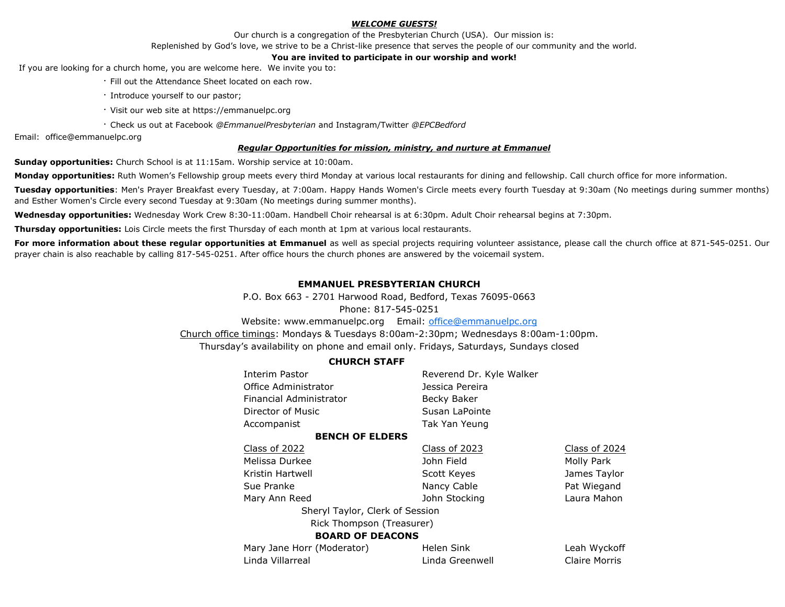### *WELCOME GUESTS!*

Our church is a congregation of the Presbyterian Church (USA). Our mission is:

Replenished by God's love, we strive to be a Christ-like presence that serves the people of our community and the world.

#### **You are invited to participate in our worship and work!**

If you are looking for a church home, you are welcome here. We invite you to:

- · Fill out the Attendance Sheet located on each row.
- · Introduce yourself to our pastor;
- · Visit our web site at https://emmanuelpc.org
- · Check us out at Facebook *@EmmanuelPresbyterian* and Instagram/Twitter *@EPCBedford*

Email: office@emmanuelpc.org

#### *Regular Opportunities for mission, ministry, and nurture at Emmanuel*

**Sunday opportunities:** Church School is at 11:15am. Worship service at 10:00am.

**Monday opportunities:** Ruth Women's Fellowship group meets every third Monday at various local restaurants for dining and fellowship. Call church office for more information.

**Tuesday opportunities**: Men's Prayer Breakfast every Tuesday, at 7:00am. Happy Hands Women's Circle meets every fourth Tuesday at 9:30am (No meetings during summer months) and Esther Women's Circle every second Tuesday at 9:30am (No meetings during summer months).

**Wednesday opportunities:** Wednesday Work Crew 8:30-11:00am. Handbell Choir rehearsal is at 6:30pm. Adult Choir rehearsal begins at 7:30pm.

**Thursday opportunities:** Lois Circle meets the first Thursday of each month at 1pm at various local restaurants.

For more information about these regular opportunities at Emmanuel as well as special projects requiring volunteer assistance, please call the church office at 871-545-0251. Our prayer chain is also reachable by calling 817-545-0251. After office hours the church phones are answered by the voicemail system.

# **EMMANUEL PRESBYTERIAN CHURCH**

P.O. Box 663 - 2701 Harwood Road, Bedford, Texas 76095-0663 Phone: 817-545-0251

Website: www.emmanuelpc.org Email: [office@emmanuelpc.org](mailto:office@emmanuelpc.org)

Church office timings: Mondays & Tuesdays 8:00am-2:30pm; Wednesdays 8:00am-1:00pm. Thursday's availability on phone and email only. Fridays, Saturdays, Sundays closed

## **CHURCH STAFF**

| Reverend Dr. Kyle Walker        |               |  |  |  |  |
|---------------------------------|---------------|--|--|--|--|
| Jessica Pereira                 |               |  |  |  |  |
| Becky Baker                     |               |  |  |  |  |
| Susan LaPointe                  |               |  |  |  |  |
| Tak Yan Yeung                   |               |  |  |  |  |
|                                 |               |  |  |  |  |
| Class of 2023                   | Class of 2024 |  |  |  |  |
| John Field                      | Molly Park    |  |  |  |  |
| Scott Keyes                     | James Taylor  |  |  |  |  |
| Nancy Cable                     | Pat Wiegand   |  |  |  |  |
| John Stocking                   | Laura Mahon   |  |  |  |  |
| Sheryl Taylor, Clerk of Session |               |  |  |  |  |
| Rick Thompson (Treasurer)       |               |  |  |  |  |
| <b>BOARD OF DEACONS</b>         |               |  |  |  |  |
| Helen Sink                      | Leah Wyckoff  |  |  |  |  |
| Linda Greenwell                 | Claire Morris |  |  |  |  |
|                                 |               |  |  |  |  |